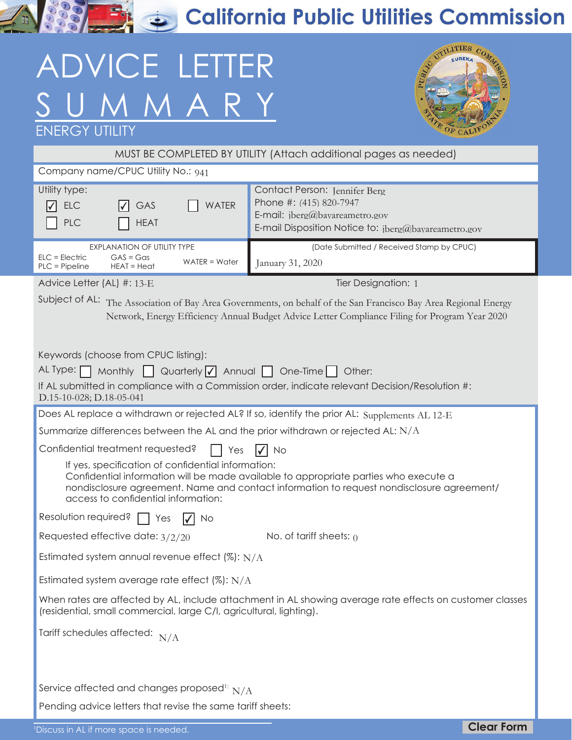California Public Utilities Commission

## ADVICE LETTER UMMARY



| <b>ENERGY UTILITY</b>                                                                                                                                                                                                                                                                                                                                                 | COF CALIFOY                                                                                                                                           |  |  |
|-----------------------------------------------------------------------------------------------------------------------------------------------------------------------------------------------------------------------------------------------------------------------------------------------------------------------------------------------------------------------|-------------------------------------------------------------------------------------------------------------------------------------------------------|--|--|
| MUST BE COMPLETED BY UTILITY (Attach additional pages as needed)                                                                                                                                                                                                                                                                                                      |                                                                                                                                                       |  |  |
| Company name/CPUC Utility No.: 941                                                                                                                                                                                                                                                                                                                                    |                                                                                                                                                       |  |  |
| Utility type:<br><b>WATER</b><br><b>ELC</b><br>GAS<br>I√I<br>PLC<br><b>HEAT</b>                                                                                                                                                                                                                                                                                       | Contact Person: Jennifer Berg<br>Phone #: (415) 820-7947<br>E-mail: $iberg@$ bayareametro.gov<br>E-mail Disposition Notice to: jberg@bayareametro.gov |  |  |
| <b>EXPLANATION OF UTILITY TYPE</b><br>$GAS = Gas$<br>$ELC = Electric$<br>$WATER = Water$<br>PLC = Pipeline<br>$HEAT = Heat$                                                                                                                                                                                                                                           | (Date Submitted / Received Stamp by CPUC)<br>January 31, 2020                                                                                         |  |  |
| Advice Letter (AL) #: 13-E                                                                                                                                                                                                                                                                                                                                            | Tier Designation: 1                                                                                                                                   |  |  |
| Subject of AL: The Association of Bay Area Governments, on behalf of the San Francisco Bay Area Regional Energy<br>Network, Energy Efficiency Annual Budget Advice Letter Compliance Filing for Program Year 2020                                                                                                                                                     |                                                                                                                                                       |  |  |
| Keywords (choose from CPUC listing):<br>AL Type: [<br>Monthly $\bigcup$ Quarterly $\bigtriangledown$ Annual $\bigcap$ One-Time<br>Other:                                                                                                                                                                                                                              |                                                                                                                                                       |  |  |
| If AL submitted in compliance with a Commission order, indicate relevant Decision/Resolution #:<br>D.15-10-028; D.18-05-041                                                                                                                                                                                                                                           |                                                                                                                                                       |  |  |
| Does AL replace a withdrawn or rejected AL? If so, identify the prior AL: Supplements AL 12-E                                                                                                                                                                                                                                                                         |                                                                                                                                                       |  |  |
| Summarize differences between the AL and the prior withdrawn or rejected AL: $N/A$                                                                                                                                                                                                                                                                                    |                                                                                                                                                       |  |  |
| Confidential treatment requested?<br>Yes<br>No<br>If yes, specification of confidential information:<br>Confidential information will be made available to appropriate parties who execute a<br>nondisclosure agreement. Name and contact information to request nondisclosure agreement/<br>access to confidential information:<br>Resolution required?<br>Yes<br>No |                                                                                                                                                       |  |  |
| Requested effective date: $3/2/20$                                                                                                                                                                                                                                                                                                                                    | No. of tariff sheets: $\rho$                                                                                                                          |  |  |
| Estimated system annual revenue effect (%): $N/A$                                                                                                                                                                                                                                                                                                                     |                                                                                                                                                       |  |  |
| Estimated system average rate effect $(\%): N/A$                                                                                                                                                                                                                                                                                                                      |                                                                                                                                                       |  |  |
| When rates are affected by AL, include attachment in AL showing average rate effects on customer classes<br>(residential, small commercial, large C/I, agricultural, lighting).                                                                                                                                                                                       |                                                                                                                                                       |  |  |
| Tariff schedules affected: $N/A$                                                                                                                                                                                                                                                                                                                                      |                                                                                                                                                       |  |  |
| Service affected and changes proposed <sup>1:</sup> $N/A$                                                                                                                                                                                                                                                                                                             |                                                                                                                                                       |  |  |
| Pending advice letters that revise the same tariff sheets:                                                                                                                                                                                                                                                                                                            |                                                                                                                                                       |  |  |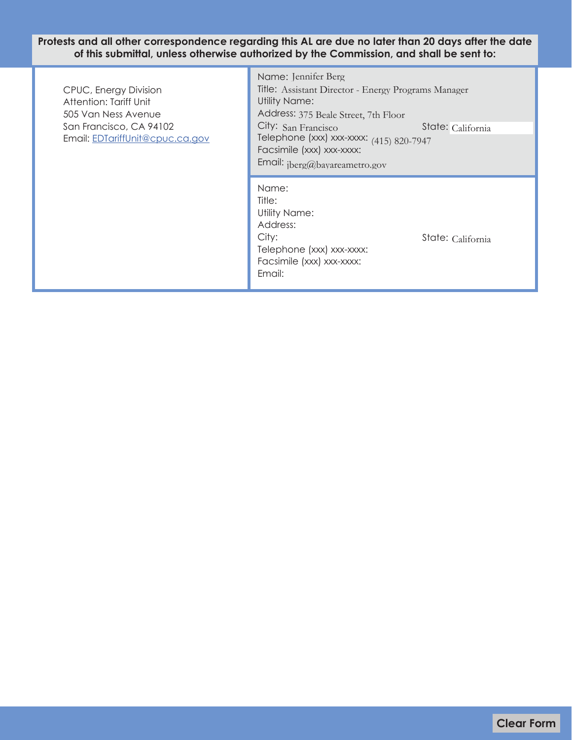**Protests and all other correspondence regarding this AL are due no later than 20 days after the date of this submittal, unless otherwise authorized by the Commission, and shall be sent to:**

÷

| CPUC, Energy Division<br>Attention: Tariff Unit<br>505 Van Ness Avenue<br>San Francisco, CA 94102<br>Email: EDTariffUnit@cpuc.ca.gov | Name: Jennifer Berg<br>Title: Assistant Director - Energy Programs Manager<br>Utility Name:<br>Address: 375 Beale Street, 7th Floor<br>City: San Francisco<br>State: California<br>Telephone (xxx) xxx-xxxx: (415) 820-7947<br>Facsimile (xxx) xxx-xxxx:<br>Email: jberg@bayareametro.gov |                   |
|--------------------------------------------------------------------------------------------------------------------------------------|-------------------------------------------------------------------------------------------------------------------------------------------------------------------------------------------------------------------------------------------------------------------------------------------|-------------------|
|                                                                                                                                      | Name:<br>Title:<br><b>Utility Name:</b><br>Address:<br>City:<br>Telephone (xxx) xxx-xxxx:<br>Facsimile (xxx) xxx-xxxx:<br>Email:                                                                                                                                                          | State: California |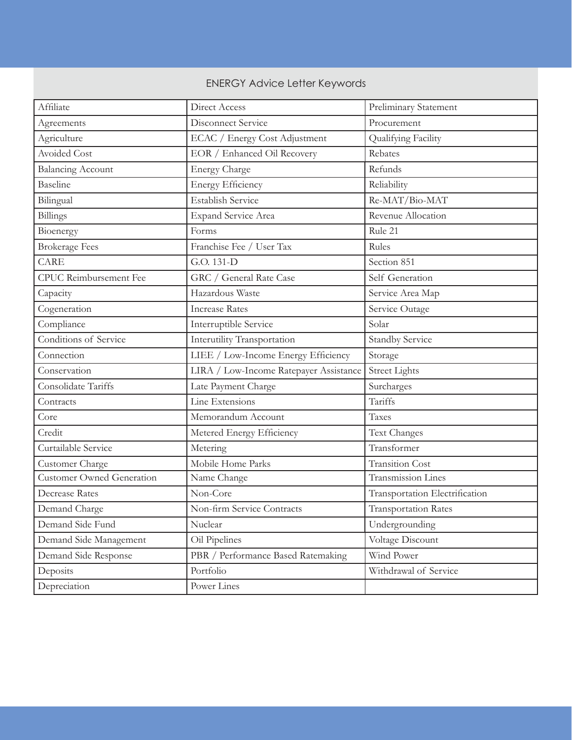## **ENERGY Advice Letter Keywords**

| Affiliate                        | Direct Access                          | Preliminary Statement          |
|----------------------------------|----------------------------------------|--------------------------------|
| Agreements                       | Disconnect Service                     | Procurement                    |
| Agriculture                      | ECAC / Energy Cost Adjustment          | Qualifying Facility            |
| <b>Avoided Cost</b>              | EOR / Enhanced Oil Recovery            | Rebates                        |
| <b>Balancing Account</b>         | <b>Energy Charge</b>                   | Refunds                        |
| Baseline                         | <b>Energy Efficiency</b>               | Reliability                    |
| Bilingual                        | <b>Establish Service</b>               | Re-MAT/Bio-MAT                 |
| Billings                         | <b>Expand Service Area</b>             | Revenue Allocation             |
| Bioenergy                        | Forms                                  | Rule 21                        |
| <b>Brokerage Fees</b>            | Franchise Fee / User Tax               | Rules                          |
| CARE                             | G.O. 131-D                             | Section 851                    |
| <b>CPUC</b> Reimbursement Fee    | GRC / General Rate Case                | Self Generation                |
| Capacity                         | Hazardous Waste                        | Service Area Map               |
| Cogeneration                     | <b>Increase Rates</b>                  | Service Outage                 |
| Compliance                       | Interruptible Service                  | Solar                          |
| Conditions of Service            | Interutility Transportation            | <b>Standby Service</b>         |
| Connection                       | LIEE / Low-Income Energy Efficiency    | Storage                        |
| Conservation                     | LIRA / Low-Income Ratepayer Assistance | <b>Street Lights</b>           |
| Consolidate Tariffs              | Late Payment Charge                    | Surcharges                     |
| Contracts                        | Line Extensions                        | Tariffs                        |
| Core                             | Memorandum Account                     | Taxes                          |
| Credit                           | Metered Energy Efficiency              | Text Changes                   |
| Curtailable Service              | Metering                               | Transformer                    |
| Customer Charge                  | Mobile Home Parks                      | <b>Transition Cost</b>         |
| <b>Customer Owned Generation</b> | Name Change                            | Transmission Lines             |
| <b>Decrease Rates</b>            | Non-Core                               | Transportation Electrification |
| Demand Charge                    | Non-firm Service Contracts             | <b>Transportation Rates</b>    |
| Demand Side Fund                 | Nuclear                                | Undergrounding                 |
| Demand Side Management           | Oil Pipelines                          | Voltage Discount               |
| Demand Side Response             | PBR / Performance Based Ratemaking     | Wind Power                     |
| Deposits                         | Portfolio                              | Withdrawal of Service          |
| Depreciation                     | Power Lines                            |                                |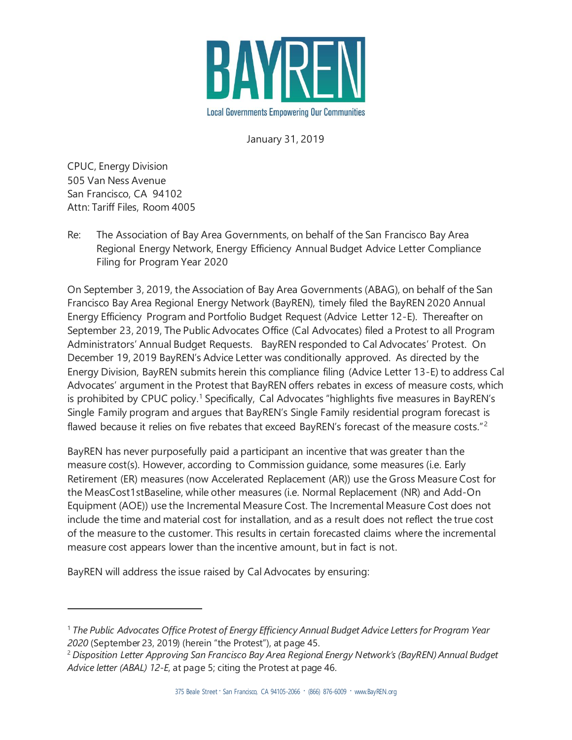

January 31, 2019

CPUC, Energy Division 505 Van Ness Avenue San Francisco, CA 94102 Attn: Tariff Files, Room 4005

l

Re: The Association of Bay Area Governments, on behalf of the San Francisco Bay Area Regional Energy Network, Energy Efficiency Annual Budget Advice Letter Compliance Filing for Program Year 2020

On September 3, 2019, the Association of Bay Area Governments (ABAG), on behalf of the San Francisco Bay Area Regional Energy Network (BayREN), timely filed the BayREN 2020 Annual Energy Efficiency Program and Portfolio Budget Request (Advice Letter 12-E). Thereafter on September 23, 2019, The Public Advocates Office (Cal Advocates) filed a Protest to all Program Administrators' Annual Budget Requests. BayREN responded to Cal Advocates' Protest. On December 19, 2019 BayREN's Advice Letter was conditionally approved. As directed by the Energy Division, BayREN submits herein this compliance filing (Advice Letter 13-E) to address Cal Advocates' argument in the Protest that BayREN offers rebates in excess of measure costs, which is prohibited by CPUC policy.<sup>1</sup> Specifically, Cal Advocates "highlights five measures in BayREN's Single Family program and argues that BayREN's Single Family residential program forecast is flawed because it relies on five rebates that exceed BayREN's forecast of the measure costs."<sup>2</sup>

BayREN has never purposefully paid a participant an incentive that was greater than the measure cost(s). However, according to Commission guidance, some measures (i.e. Early Retirement (ER) measures (now Accelerated Replacement (AR)) use the Gross Measure Cost for the MeasCost1stBaseline, while other measures (i.e. Normal Replacement (NR) and Add-On Equipment (AOE)) use the Incremental Measure Cost. The Incremental Measure Cost does not include the time and material cost for installation, and as a result does not reflect the true cost of the measure to the customer. This results in certain forecasted claims where the incremental measure cost appears lower than the incentive amount, but in fact is not.

BayREN will address the issue raised by Cal Advocates by ensuring:

<sup>1</sup> *The Public Advocates Office Protest of Energy Efficiency Annual Budget Advice Letters for Program Year 2020* (September 23, 2019) (herein "the Protest"), at page 45.

<sup>2</sup> *Disposition Letter Approving San Francisco Bay Area Regional Energy Network's (BayREN) Annual Budget Advice letter (ABAL) 12-E*, at page 5; citing the Protest at page 46.